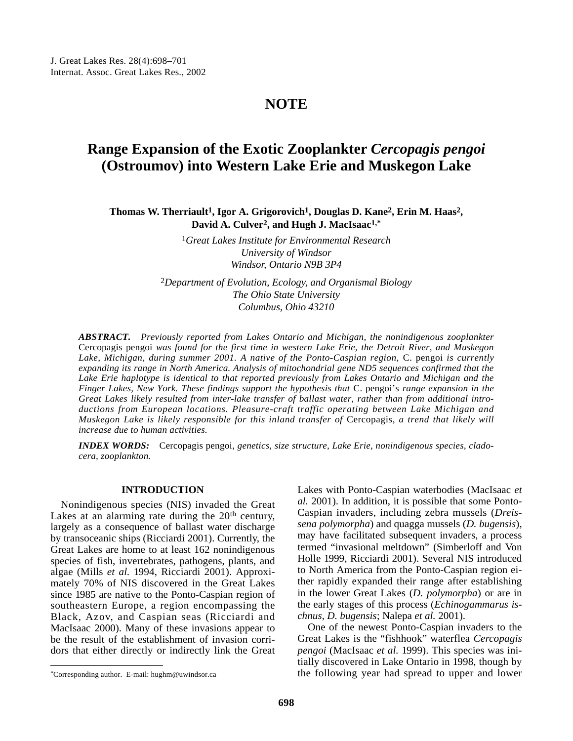## **NOTE**

# **Range Expansion of the Exotic Zooplankter** *Cercopagis pengoi* **(Ostroumov) into Western Lake Erie and Muskegon Lake**

**Thomas W. Therriault1, Igor A. Grigorovich1, Douglas D. Kane2, Erin M. Haas2, David A. Culver2, and Hugh J. MacIsaac1,\***

> 1*Great Lakes Institute for Environmental Research University of Windsor Windsor, Ontario N9B 3P4*

2*Department of Evolution, Ecology, and Organismal Biology The Ohio State University Columbus, Ohio 43210*

*ABSTRACT. Previously reported from Lakes Ontario and Michigan, the nonindigenous zooplankter* Cercopagis pengoi *was found for the first time in western Lake Erie, the Detroit River, and Muskegon Lake, Michigan, during summer 2001. A native of the Ponto-Caspian region,* C. pengoi *is currently expanding its range in North America. Analysis of mitochondrial gene ND5 sequences confirmed that the Lake Erie haplotype is identical to that reported previously from Lakes Ontario and Michigan and the Finger Lakes, New York. These findings support the hypothesis that* C. pengoi's *range expansion in the Great Lakes likely resulted from inter-lake transfer of ballast water, rather than from additional introductions from European locations. Pleasure-craft traffic operating between Lake Michigan and Muskegon Lake is likely responsible for this inland transfer of* Cercopagis, *a trend that likely will increase due to human activities.*

*INDEX WORDS:* Cercopagis pengoi, *genetics, size structure, Lake Erie, nonindigenous species, cladocera, zooplankton.*

### **INTRODUCTION**

Nonindigenous species (NIS) invaded the Great Lakes at an alarming rate during the 20<sup>th</sup> century, largely as a consequence of ballast water discharge by transoceanic ships (Ricciardi 2001). Currently, the Great Lakes are home to at least 162 nonindigenous species of fish, invertebrates, pathogens, plants, and algae (Mills *et al.* 1994, Ricciardi 2001). Approximately 70% of NIS discovered in the Great Lakes since 1985 are native to the Ponto-Caspian region of southeastern Europe, a region encompassing the Black, Azov, and Caspian seas (Ricciardi and MacIsaac 2000). Many of these invasions appear to be the result of the establishment of invasion corridors that either directly or indirectly link the Great Lakes with Ponto-Caspian waterbodies (MacIsaac *et al.* 2001). In addition, it is possible that some Ponto-Caspian invaders, including zebra mussels (*Dreissena polymorpha*) and quagga mussels (*D. bugensis*), may have facilitated subsequent invaders, a process termed "invasional meltdown" (Simberloff and Von Holle 1999, Ricciardi 2001). Several NIS introduced to North America from the Ponto-Caspian region either rapidly expanded their range after establishing in the lower Great Lakes (*D. polymorpha*) or are in the early stages of this process (*Echinogammarus ischnus*, *D. bugensis*; Nalepa *et al.* 2001).

One of the newest Ponto-Caspian invaders to the Great Lakes is the "fishhook" waterflea *Cercopagis pengoi* (MacIsaac *et al.* 1999). This species was initially discovered in Lake Ontario in 1998, though by the following year had spread to upper and lower

<sup>\*</sup>Corresponding author. E-mail: hughm@uwindsor.ca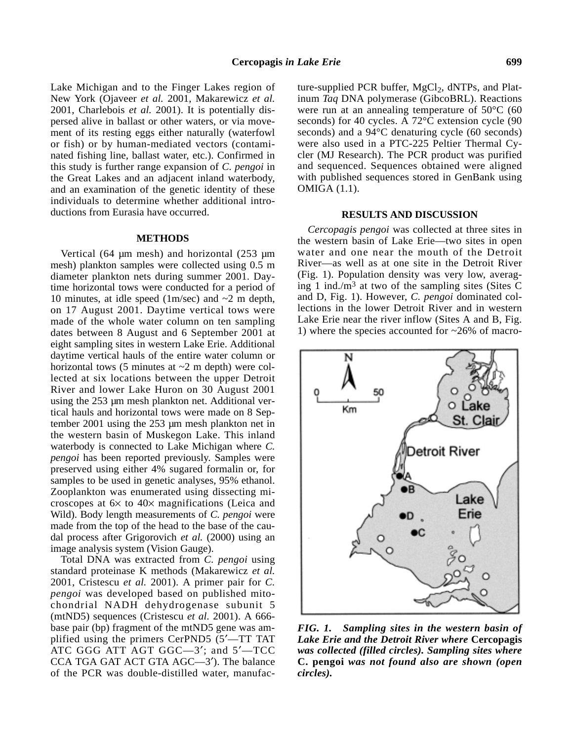Lake Michigan and to the Finger Lakes region of New York (Ojaveer *et al.* 2001, Makarewicz *et al.* 2001, Charlebois *et al.* 2001). It is potentially dispersed alive in ballast or other waters, or via movement of its resting eggs either naturally (waterfowl or fish) or by human-mediated vectors (contaminated fishing line, ballast water, etc.). Confirmed in this study is further range expansion of *C. pengoi* in the Great Lakes and an adjacent inland waterbody, and an examination of the genetic identity of these individuals to determine whether additional introductions from Eurasia have occurred.

#### **METHODS**

Vertical (64 µm mesh) and horizontal (253 µm mesh) plankton samples were collected using 0.5 m diameter plankton nets during summer 2001. Daytime horizontal tows were conducted for a period of 10 minutes, at idle speed  $(1m/sec)$  and  $\sim$ 2 m depth, on 17 August 2001. Daytime vertical tows were made of the whole water column on ten sampling dates between 8 August and 6 September 2001 at eight sampling sites in western Lake Erie. Additional daytime vertical hauls of the entire water column or horizontal tows  $(5 \text{ minutes at } \sim 2 \text{ m depth})$  were collected at six locations between the upper Detroit River and lower Lake Huron on 30 August 2001 using the 253 µm mesh plankton net. Additional vertical hauls and horizontal tows were made on 8 September 2001 using the 253 µm mesh plankton net in the western basin of Muskegon Lake. This inland waterbody is connected to Lake Michigan where *C. pengoi* has been reported previously. Samples were preserved using either 4% sugared formalin or, for samples to be used in genetic analyses, 95% ethanol. Zooplankton was enumerated using dissecting microscopes at 6× to 40× magnifications (Leica and Wild). Body length measurements of *C. pengoi* were made from the top of the head to the base of the caudal process after Grigorovich *et al.* (2000) using an image analysis system (Vision Gauge).

Total DNA was extracted from *C. pengoi* using standard proteinase K methods (Makarewicz *et al.* 2001, Cristescu *et al.* 2001). A primer pair for *C. pengoi* was developed based on published mitochondrial NADH dehydrogenase subunit 5 (mtND5) sequences (Cristescu *et al.* 2001). A 666 base pair (bp) fragment of the mtND5 gene was amplified using the primers CerPND5 (5′—TT TAT ATC GGG ATT AGT GGC—3′; and 5′—TCC CCA TGA GAT ACT GTA AGC—3′). The balance of the PCR was double-distilled water, manufacture-supplied PCR buffer,  $MgCl<sub>2</sub>$ , dNTPs, and Platinum *Taq* DNA polymerase (GibcoBRL). Reactions were run at an annealing temperature of 50°C (60 seconds) for 40 cycles. A 72°C extension cycle (90 seconds) and a 94°C denaturing cycle (60 seconds) were also used in a PTC-225 Peltier Thermal Cycler (MJ Research). The PCR product was purified and sequenced. Sequences obtained were aligned with published sequences stored in GenBank using OMIGA (1.1).

#### **RESULTS AND DISCUSSION**

*Cercopagis pengoi* was collected at three sites in the western basin of Lake Erie—two sites in open water and one near the mouth of the Detroit River—as well as at one site in the Detroit River (Fig. 1). Population density was very low, averaging 1 ind./m<sup>3</sup> at two of the sampling sites (Sites C) and D, Fig. 1). However, *C. pengoi* dominated collections in the lower Detroit River and in western Lake Erie near the river inflow (Sites A and B, Fig. 1) where the species accounted for ~26% of macro-



*FIG. 1. Sampling sites in the western basin of Lake Erie and the Detroit River where* **Cercopagis** *was collected (filled circles). Sampling sites where* **C. pengoi** *was not found also are shown (open circles).*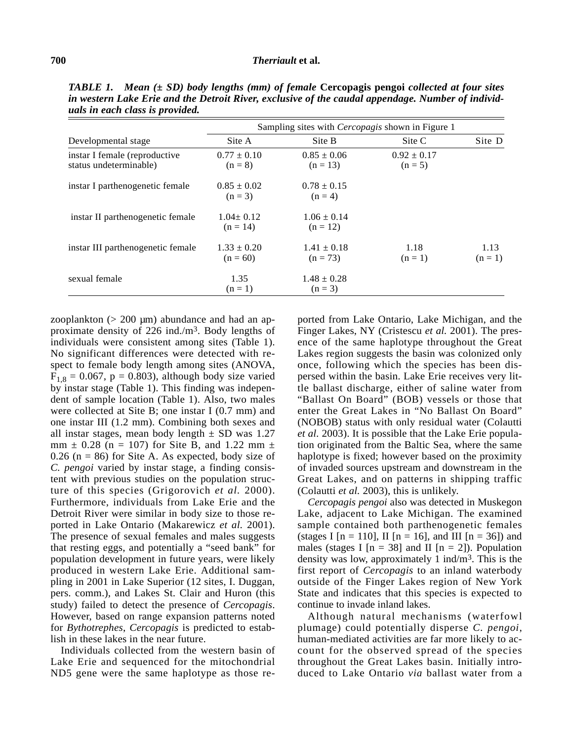#### **700** *Therriault* **et al.**

| Developmental stage                                      | Sampling sites with <i>Cercopagis</i> shown in Figure 1 |                               |                              |                   |
|----------------------------------------------------------|---------------------------------------------------------|-------------------------------|------------------------------|-------------------|
|                                                          | Site A                                                  | Site B                        | Site C                       | Site D            |
| instar I female (reproductive)<br>status undeterminable) | $0.77 \pm 0.10$<br>$(n = 8)$                            | $0.85 \pm 0.06$<br>$(n = 13)$ | $0.92 \pm 0.17$<br>$(n = 5)$ |                   |
| instar I parthenogenetic female                          | $0.85 \pm 0.02$<br>$(n = 3)$                            | $0.78 \pm 0.15$<br>$(n = 4)$  |                              |                   |
| instar II parthenogenetic female                         | $1.04 \pm 0.12$<br>$(n = 14)$                           | $1.06 \pm 0.14$<br>$(n = 12)$ |                              |                   |
| instar III parthenogenetic female                        | $1.33 \pm 0.20$<br>$(n = 60)$                           | $1.41 \pm 0.18$<br>$(n = 73)$ | 1.18<br>$(n=1)$              | 1.13<br>$(n = 1)$ |
| sexual female                                            | 1.35<br>$(n=1)$                                         | $1.48 \pm 0.28$<br>$(n = 3)$  |                              |                   |

*TABLE 1. Mean (± SD) body lengths (mm) of female* **Cercopagis pengoi** *collected at four sites in western Lake Erie and the Detroit River, exclusive of the caudal appendage. Number of individuals in each class is provided.* 

zooplankton  $(> 200 \mu m)$  abundance and had an approximate density of 226 ind./ $m<sup>3</sup>$ . Body lengths of individuals were consistent among sites (Table 1). No significant differences were detected with respect to female body length among sites (ANOVA,  $F_{1,8} = 0.067$ , p = 0.803), although body size varied by instar stage (Table 1). This finding was independent of sample location (Table 1). Also, two males were collected at Site B; one instar I (0.7 mm) and one instar III (1.2 mm). Combining both sexes and all instar stages, mean body length  $\pm$  SD was 1.27 mm  $\pm$  0.28 (n = 107) for Site B, and 1.22 mm  $\pm$  $0.26$  (n = 86) for Site A. As expected, body size of *C. pengoi* varied by instar stage, a finding consistent with previous studies on the population structure of this species (Grigorovich *et al.* 2000). Furthermore, individuals from Lake Erie and the Detroit River were similar in body size to those reported in Lake Ontario (Makarewicz *et al.* 2001). The presence of sexual females and males suggests that resting eggs, and potentially a "seed bank" for population development in future years, were likely produced in western Lake Erie. Additional sampling in 2001 in Lake Superior (12 sites, I. Duggan, pers. comm.), and Lakes St. Clair and Huron (this study) failed to detect the presence of *Cercopagis*. However, based on range expansion patterns noted for *Bythotrephes*, *Cercopagis* is predicted to establish in these lakes in the near future.

Individuals collected from the western basin of Lake Erie and sequenced for the mitochondrial ND5 gene were the same haplotype as those re-

ported from Lake Ontario, Lake Michigan, and the Finger Lakes, NY (Cristescu *et al.* 2001). The presence of the same haplotype throughout the Great Lakes region suggests the basin was colonized only once, following which the species has been dispersed within the basin. Lake Erie receives very little ballast discharge, either of saline water from "Ballast On Board" (BOB) vessels or those that enter the Great Lakes in "No Ballast On Board" (NOBOB) status with only residual water (Colautti *et al.* 2003). It is possible that the Lake Erie population originated from the Baltic Sea, where the same haplotype is fixed; however based on the proximity of invaded sources upstream and downstream in the Great Lakes, and on patterns in shipping traffic (Colautti *et al.* 2003), this is unlikely.

*Cercopagis pengoi* also was detected in Muskegon Lake, adjacent to Lake Michigan. The examined sample contained both parthenogenetic females (stages I [n = 110], II [n = 16], and III [n = 36]) and males (stages I  $[n = 38]$  and II  $[n = 2]$ ). Population density was low, approximately 1 ind/m3. This is the first report of *Cercopagis* to an inland waterbody outside of the Finger Lakes region of New York State and indicates that this species is expected to continue to invade inland lakes.

Although natural mechanisms (waterfowl plumage) could potentially disperse *C. pengoi*, human-mediated activities are far more likely to account for the observed spread of the species throughout the Great Lakes basin. Initially introduced to Lake Ontario *via* ballast water from a